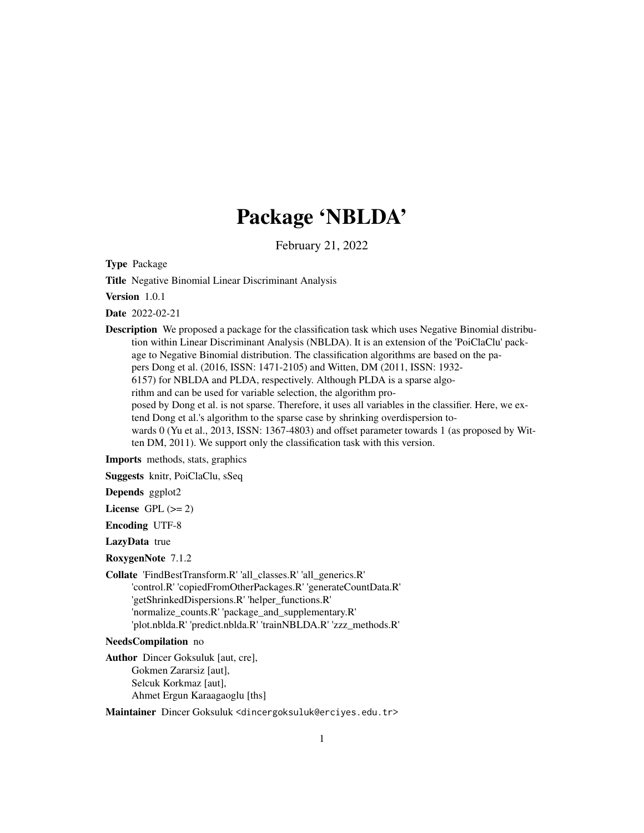# Package 'NBLDA'

February 21, 2022

<span id="page-0-0"></span>Type Package

Title Negative Binomial Linear Discriminant Analysis

Version 1.0.1

Date 2022-02-21

Description We proposed a package for the classification task which uses Negative Binomial distribution within Linear Discriminant Analysis (NBLDA). It is an extension of the 'PoiClaClu' package to Negative Binomial distribution. The classification algorithms are based on the papers Dong et al. (2016, ISSN: 1471-2105) and Witten, DM (2011, ISSN: 1932- 6157) for NBLDA and PLDA, respectively. Although PLDA is a sparse algorithm and can be used for variable selection, the algorithm proposed by Dong et al. is not sparse. Therefore, it uses all variables in the classifier. Here, we extend Dong et al.'s algorithm to the sparse case by shrinking overdispersion towards 0 (Yu et al., 2013, ISSN: 1367-4803) and offset parameter towards 1 (as proposed by Witten DM, 2011). We support only the classification task with this version.

Imports methods, stats, graphics

Suggests knitr, PoiClaClu, sSeq

Depends ggplot2

License GPL  $(>= 2)$ 

Encoding UTF-8

LazyData true

RoxygenNote 7.1.2

Collate 'FindBestTransform.R' 'all\_classes.R' 'all\_generics.R' 'control.R' 'copiedFromOtherPackages.R' 'generateCountData.R' 'getShrinkedDispersions.R' 'helper\_functions.R' 'normalize\_counts.R' 'package\_and\_supplementary.R' 'plot.nblda.R' 'predict.nblda.R' 'trainNBLDA.R' 'zzz\_methods.R'

NeedsCompilation no

Author Dincer Goksuluk [aut, cre], Gokmen Zararsiz [aut], Selcuk Korkmaz [aut], Ahmet Ergun Karaagaoglu [ths]

Maintainer Dincer Goksuluk <dincergoksuluk@erciyes.edu.tr>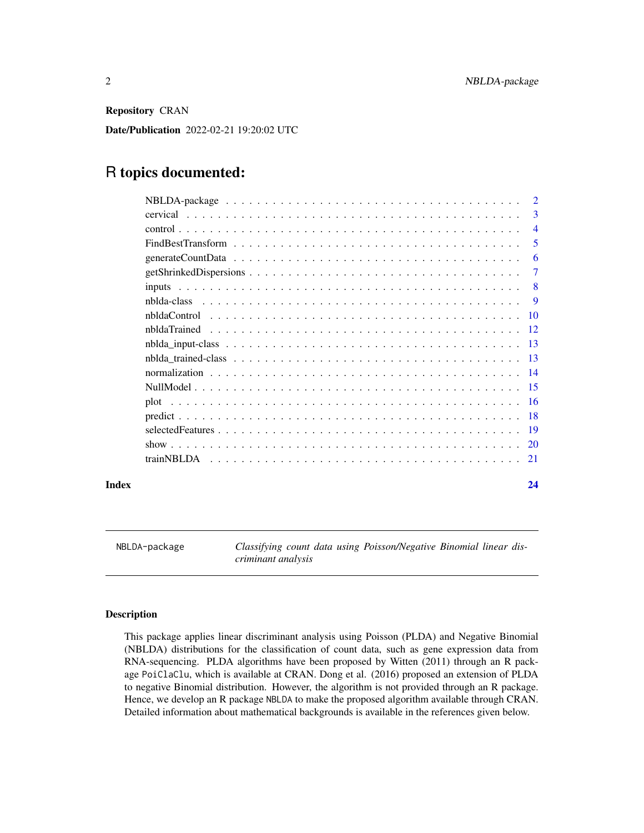<span id="page-1-0"></span>Repository CRAN

Date/Publication 2022-02-21 19:20:02 UTC

## R topics documented:

|       | $\overline{2}$ |
|-------|----------------|
|       | 3              |
|       | $\overline{4}$ |
|       | 5              |
|       | 6              |
|       | $\tau$         |
|       | -8             |
|       | -9             |
|       |                |
|       |                |
|       |                |
|       |                |
|       |                |
|       |                |
|       |                |
|       |                |
|       |                |
|       |                |
|       |                |
| Index | 24             |

NBLDA-package *Classifying count data using Poisson/Negative Binomial linear discriminant analysis*

#### Description

This package applies linear discriminant analysis using Poisson (PLDA) and Negative Binomial (NBLDA) distributions for the classification of count data, such as gene expression data from RNA-sequencing. PLDA algorithms have been proposed by Witten (2011) through an R package PoiClaClu, which is available at CRAN. Dong et al. (2016) proposed an extension of PLDA to negative Binomial distribution. However, the algorithm is not provided through an R package. Hence, we develop an R package NBLDA to make the proposed algorithm available through CRAN. Detailed information about mathematical backgrounds is available in the references given below.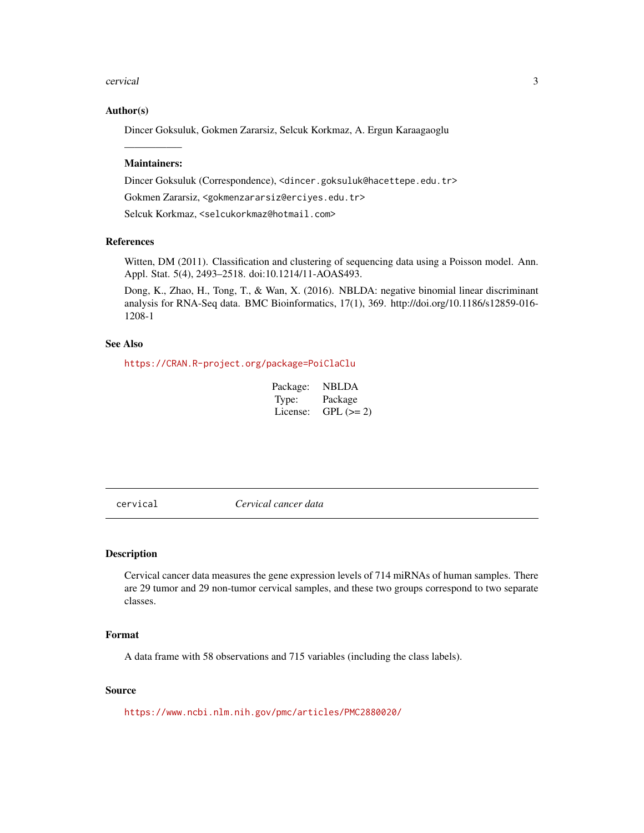#### <span id="page-2-0"></span>cervical 3

#### Author(s)

Dincer Goksuluk, Gokmen Zararsiz, Selcuk Korkmaz, A. Ergun Karaagaoglu

### —————– Maintainers:

Dincer Goksuluk (Correspondence), <dincer.goksuluk@hacettepe.edu.tr> Gokmen Zararsiz, <gokmenzararsiz@erciyes.edu.tr>

Selcuk Korkmaz, <selcukorkmaz@hotmail.com>

#### References

Witten, DM (2011). Classification and clustering of sequencing data using a Poisson model. Ann. Appl. Stat. 5(4), 2493–2518. doi:10.1214/11-AOAS493.

Dong, K., Zhao, H., Tong, T., & Wan, X. (2016). NBLDA: negative binomial linear discriminant analysis for RNA-Seq data. BMC Bioinformatics, 17(1), 369. http://doi.org/10.1186/s12859-016- 1208-1

#### See Also

<https://CRAN.R-project.org/package=PoiClaClu>

| Package: | <b>NBLDA</b> |
|----------|--------------|
| Type:    | Package      |
| License: | $GPL (=2)$   |

cervical *Cervical cancer data*

#### Description

Cervical cancer data measures the gene expression levels of 714 miRNAs of human samples. There are 29 tumor and 29 non-tumor cervical samples, and these two groups correspond to two separate classes.

#### Format

A data frame with 58 observations and 715 variables (including the class labels).

#### Source

<https://www.ncbi.nlm.nih.gov/pmc/articles/PMC2880020/>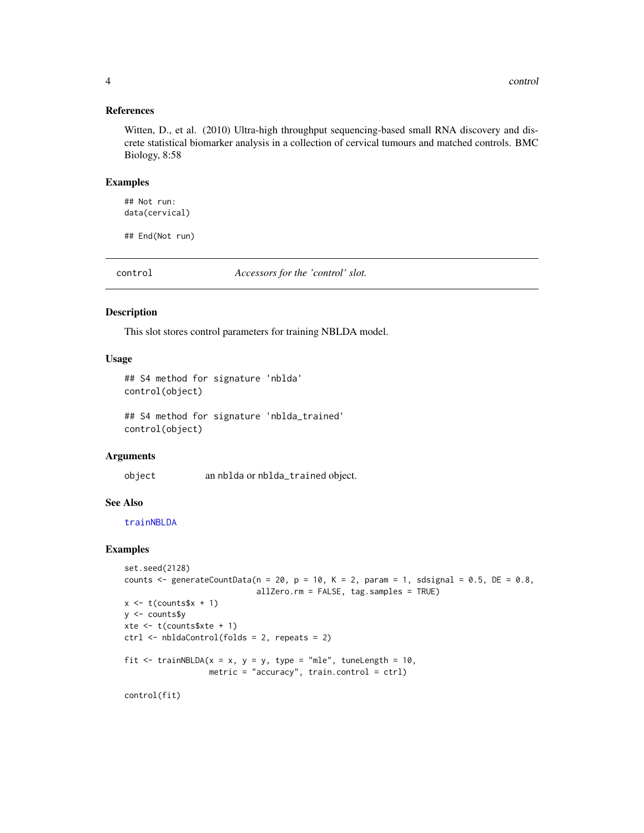<span id="page-3-0"></span>4 control

#### References

Witten, D., et al. (2010) Ultra-high throughput sequencing-based small RNA discovery and discrete statistical biomarker analysis in a collection of cervical tumours and matched controls. BMC Biology, 8:58

#### Examples

## Not run: data(cervical)

## End(Not run)

<span id="page-3-1"></span>control *Accessors for the 'control' slot.*

#### Description

This slot stores control parameters for training NBLDA model.

#### Usage

```
## S4 method for signature 'nblda'
control(object)
```
## S4 method for signature 'nblda\_trained' control(object)

#### Arguments

object an nblda or nblda\_trained object.

#### See Also

[trainNBLDA](#page-20-1)

```
set.seed(2128)
counts \leq generateCountData(n = 20, p = 10, K = 2, param = 1, sdsignal = 0.5, DE = 0.8,
                             allZero.rm = FALSE, tag.samples = TRUE)
x \leftarrow t(counts$x + 1)
y <- counts$y
xte \leq t(counts$xte + 1)
ctrl <- nbldaControl(folds = 2, repeats = 2)
fit \le trainNBLDA(x = x, y = y, type = "mle", tuneLength = 10,
                  metric = "accuracy", train.control = ctrl)
control(fit)
```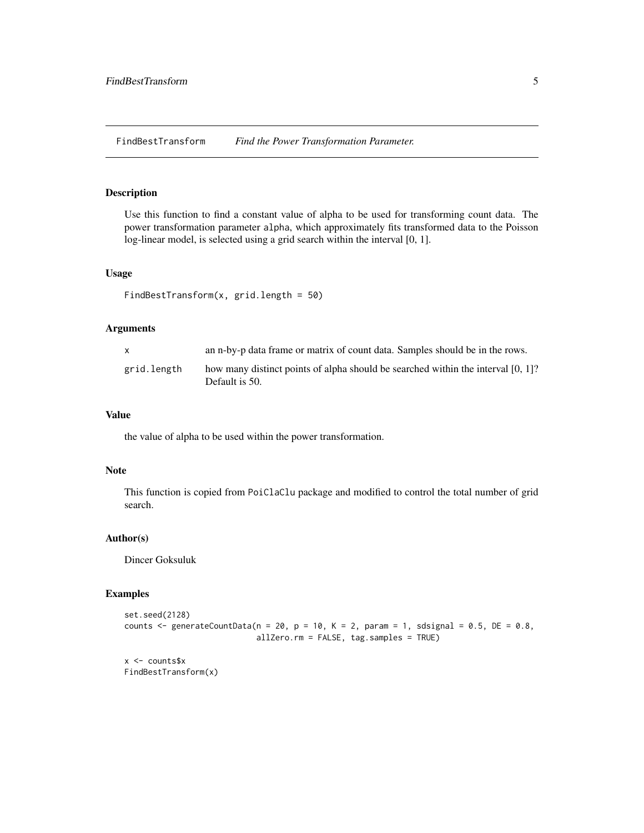<span id="page-4-0"></span>FindBestTransform *Find the Power Transformation Parameter.*

#### Description

Use this function to find a constant value of alpha to be used for transforming count data. The power transformation parameter alpha, which approximately fits transformed data to the Poisson log-linear model, is selected using a grid search within the interval [0, 1].

#### Usage

```
FindBestTransform(x, grid.length = 50)
```
#### Arguments

| $\mathbf{x}$ | an n-by-p data frame or matrix of count data. Samples should be in the rows.                       |
|--------------|----------------------------------------------------------------------------------------------------|
| grid.length  | how many distinct points of alpha should be searched within the interval [0, 1]?<br>Default is 50. |

#### Value

the value of alpha to be used within the power transformation.

#### Note

This function is copied from PoiClaClu package and modified to control the total number of grid search.

#### Author(s)

Dincer Goksuluk

#### Examples

```
set.seed(2128)
counts \leq generateCountData(n = 20, p = 10, K = 2, param = 1, sdsignal = 0.5, DE = 0.8,
                            allZero.rm = FALSE, tag.samples = TRUE)
```
x <- counts\$x FindBestTransform(x)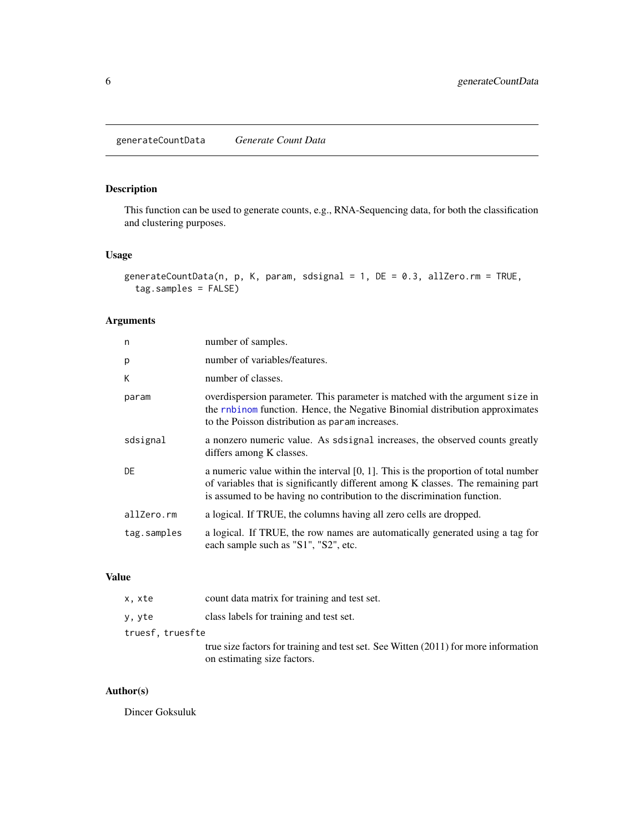<span id="page-5-0"></span>This function can be used to generate counts, e.g., RNA-Sequencing data, for both the classification and clustering purposes.

#### Usage

```
generateCountData(n, p, K, param, sdsignal = 1, DE = 0.3, allZero.rm = TRUE,
  tag.samples = FALSE)
```
#### Arguments

| n           | number of samples.                                                                                                                                                                                                                                   |
|-------------|------------------------------------------------------------------------------------------------------------------------------------------------------------------------------------------------------------------------------------------------------|
| p           | number of variables/features.                                                                                                                                                                                                                        |
| K           | number of classes.                                                                                                                                                                                                                                   |
| param       | overdispersion parameter. This parameter is matched with the argument size in<br>the rnbinom function. Hence, the Negative Binomial distribution approximates<br>to the Poisson distribution as parameter increases.                                 |
| sdsignal    | a nonzero numeric value. As solsignal increases, the observed counts greatly<br>differs among K classes.                                                                                                                                             |
| DE          | a numeric value within the interval $[0, 1]$ . This is the proportion of total number<br>of variables that is significantly different among K classes. The remaining part<br>is assumed to be having no contribution to the discrimination function. |
| allZero.rm  | a logical. If TRUE, the columns having all zero cells are dropped.                                                                                                                                                                                   |
| tag.samples | a logical. If TRUE, the row names are automatically generated using a tag for<br>each sample such as "S1", "S2", etc.                                                                                                                                |
|             |                                                                                                                                                                                                                                                      |

#### Value

| x, xte           | count data matrix for training and test set.                                        |
|------------------|-------------------------------------------------------------------------------------|
| y, yte           | class labels for training and test set.                                             |
| truesf, truesfte |                                                                                     |
|                  | true size factors for training and test set. See Witten (2011) for more information |
|                  | on estimating size factors.                                                         |

#### Author(s)

Dincer Goksuluk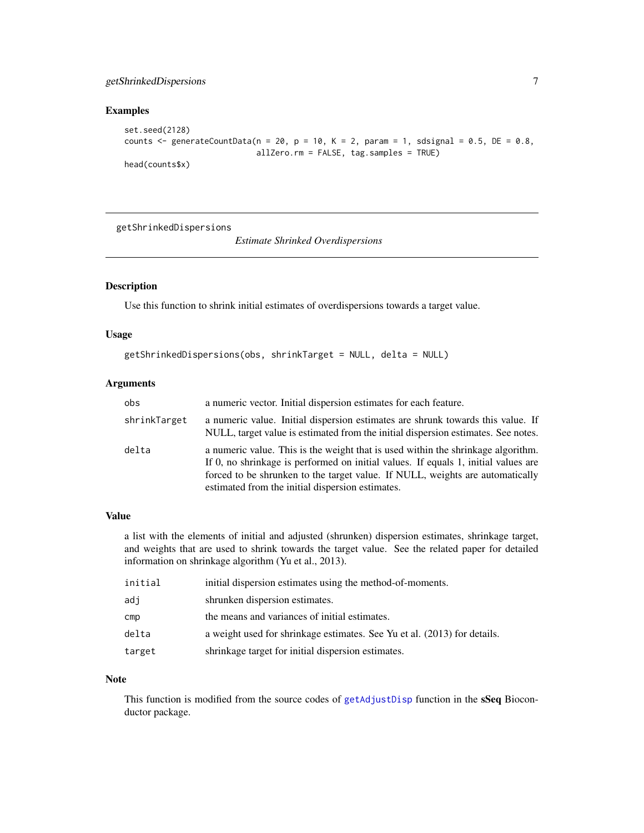#### <span id="page-6-0"></span>getShrinkedDispersions 7

#### Examples

```
set.seed(2128)
counts \leq generateCountData(n = 20, p = 10, K = 2, param = 1, sdsignal = 0.5, DE = 0.8,
                            allZero.rm = FALSE, tag.samples = TRUE)
head(counts$x)
```
getShrinkedDispersions

*Estimate Shrinked Overdispersions*

#### Description

Use this function to shrink initial estimates of overdispersions towards a target value.

#### Usage

```
getShrinkedDispersions(obs, shrinkTarget = NULL, delta = NULL)
```
#### Arguments

| obs          | a numeric vector. Initial dispersion estimates for each feature.                                                                                                                                                                                                                                            |
|--------------|-------------------------------------------------------------------------------------------------------------------------------------------------------------------------------------------------------------------------------------------------------------------------------------------------------------|
| shrinkTarget | a numeric value. Initial dispersion estimates are shrunk towards this value. If<br>NULL, target value is estimated from the initial dispersion estimates. See notes.                                                                                                                                        |
| delta        | a numeric value. This is the weight that is used within the shrinkage algorithm.<br>If 0, no shrinkage is performed on initial values. If equals 1, initial values are<br>forced to be shrunken to the target value. If NULL, weights are automatically<br>estimated from the initial dispersion estimates. |

#### Value

a list with the elements of initial and adjusted (shrunken) dispersion estimates, shrinkage target, and weights that are used to shrink towards the target value. See the related paper for detailed information on shrinkage algorithm (Yu et al., 2013).

| initial | initial dispersion estimates using the method-of-moments.                |
|---------|--------------------------------------------------------------------------|
| adj     | shrunken dispersion estimates.                                           |
| cmp     | the means and variances of initial estimates.                            |
| delta   | a weight used for shrinkage estimates. See Yu et al. (2013) for details. |
| target  | shrinkage target for initial dispersion estimates.                       |

#### Note

This function is modified from the source codes of [getAdjustDisp](#page-0-0) function in the sSeq Bioconductor package.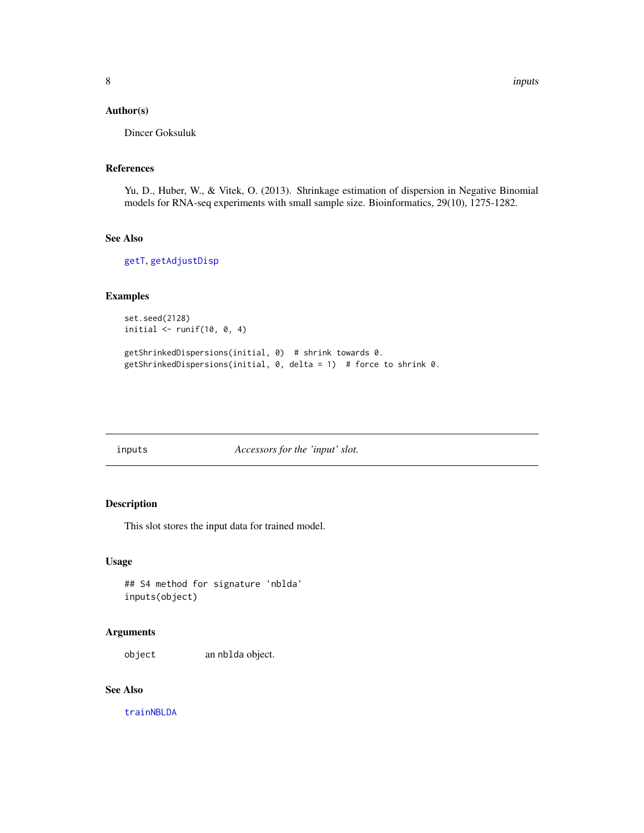#### <span id="page-7-0"></span>Author(s)

Dincer Goksuluk

#### References

Yu, D., Huber, W., & Vitek, O. (2013). Shrinkage estimation of dispersion in Negative Binomial models for RNA-seq experiments with small sample size. Bioinformatics, 29(10), 1275-1282.

#### See Also

[getT](#page-0-0), [getAdjustDisp](#page-0-0)

#### Examples

```
set.seed(2128)
initial \le runif(10, 0, 4)
```

```
getShrinkedDispersions(initial, 0) # shrink towards 0.
getShrinkedDispersions(initial, 0, delta = 1) # force to shrink 0.
```
#### inputs *Accessors for the 'input' slot.*

#### Description

This slot stores the input data for trained model.

#### Usage

## S4 method for signature 'nblda' inputs(object)

#### Arguments

object an nblda object.

#### See Also

[trainNBLDA](#page-20-1)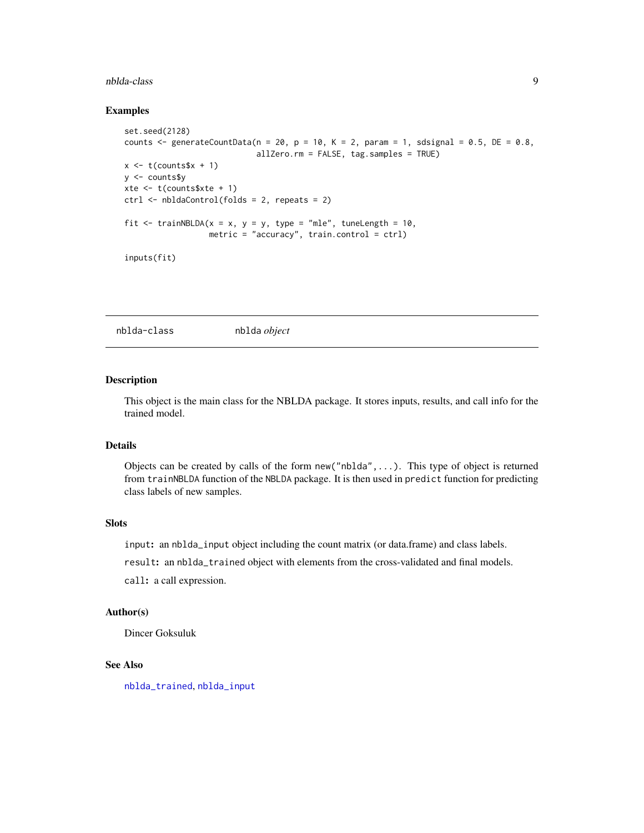#### <span id="page-8-0"></span>nblda-class 9

#### Examples

```
set.seed(2128)
counts \leq generateCountData(n = 20, p = 10, K = 2, param = 1, sdsignal = 0.5, DE = 0.8,
                             allZero.rm = FALSE, tag.samples = TRUE)
x \leftarrow t(counts$x + 1)
y <- counts$y
xte \leq t(counts$xte + 1)
ctrl <- nbldaControl(folds = 2, repeats = 2)
fit <- trainNBLDA(x = x, y = y, type = "mle", tuneLength = 10,
                  metric = "accuracy", train.control = ctrl)
inputs(fit)
```
<span id="page-8-1"></span>nblda-class nblda *object*

#### Description

This object is the main class for the NBLDA package. It stores inputs, results, and call info for the trained model.

#### Details

Objects can be created by calls of the form new("nblda",...). This type of object is returned from trainNBLDA function of the NBLDA package. It is then used in predict function for predicting class labels of new samples.

#### Slots

input: an nblda\_input object including the count matrix (or data.frame) and class labels.

result: an nblda\_trained object with elements from the cross-validated and final models.

call: a call expression.

#### Author(s)

Dincer Goksuluk

#### See Also

[nblda\\_trained](#page-12-1), [nblda\\_input](#page-12-2)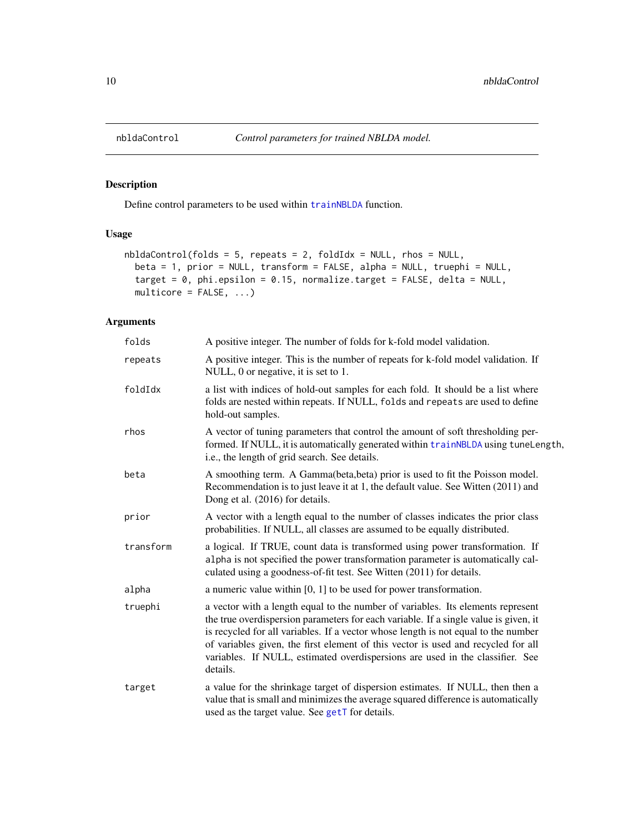<span id="page-9-1"></span><span id="page-9-0"></span>

Define control parameters to be used within [trainNBLDA](#page-20-1) function.

#### Usage

```
nbldaControl(folds = 5, repeats = 2, foldIdx = NULL, rhos = NULL,
 beta = 1, prior = NULL, transform = FALSE, alpha = NULL, truephi = NULL,
  target = 0, phi.epsilon = 0.15, normalize.target = FALSE, delta = NULL,
 multicore = FALSE, ...)
```
#### Arguments

| folds     | A positive integer. The number of folds for k-fold model validation.                                                                                                                                                                                                                                                                                                                                                                            |
|-----------|-------------------------------------------------------------------------------------------------------------------------------------------------------------------------------------------------------------------------------------------------------------------------------------------------------------------------------------------------------------------------------------------------------------------------------------------------|
| repeats   | A positive integer. This is the number of repeats for k-fold model validation. If<br>NULL, 0 or negative, it is set to 1.                                                                                                                                                                                                                                                                                                                       |
| foldIdx   | a list with indices of hold-out samples for each fold. It should be a list where<br>folds are nested within repeats. If NULL, folds and repeats are used to define<br>hold-out samples.                                                                                                                                                                                                                                                         |
| rhos      | A vector of tuning parameters that control the amount of soft thresholding per-<br>formed. If NULL, it is automatically generated within trainNBLDA using tuneLength,<br>i.e., the length of grid search. See details.                                                                                                                                                                                                                          |
| beta      | A smoothing term. A Gamma(beta, beta) prior is used to fit the Poisson model.<br>Recommendation is to just leave it at 1, the default value. See Witten (2011) and<br>Dong et al. (2016) for details.                                                                                                                                                                                                                                           |
| prior     | A vector with a length equal to the number of classes indicates the prior class<br>probabilities. If NULL, all classes are assumed to be equally distributed.                                                                                                                                                                                                                                                                                   |
| transform | a logical. If TRUE, count data is transformed using power transformation. If<br>alpha is not specified the power transformation parameter is automatically cal-<br>culated using a goodness-of-fit test. See Witten (2011) for details.                                                                                                                                                                                                         |
| alpha     | a numeric value within $[0, 1]$ to be used for power transformation.                                                                                                                                                                                                                                                                                                                                                                            |
| truephi   | a vector with a length equal to the number of variables. Its elements represent<br>the true overdispersion parameters for each variable. If a single value is given, it<br>is recycled for all variables. If a vector whose length is not equal to the number<br>of variables given, the first element of this vector is used and recycled for all<br>variables. If NULL, estimated overdispersions are used in the classifier. See<br>details. |
| target    | a value for the shrinkage target of dispersion estimates. If NULL, then then a<br>value that is small and minimizes the average squared difference is automatically<br>used as the target value. See getT for details.                                                                                                                                                                                                                          |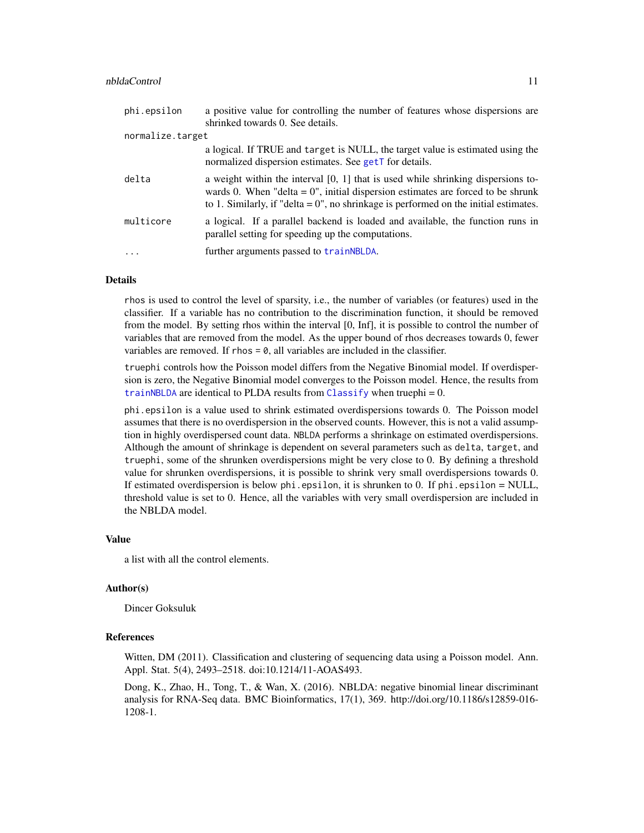<span id="page-10-0"></span>

| phi.epsilon      | a positive value for controlling the number of features whose dispersions are<br>shrinked towards 0. See details.                                                                                                                                                   |
|------------------|---------------------------------------------------------------------------------------------------------------------------------------------------------------------------------------------------------------------------------------------------------------------|
| normalize.target |                                                                                                                                                                                                                                                                     |
|                  | a logical. If TRUE and target is NULL, the target value is estimated using the<br>normalized dispersion estimates. See getT for details.                                                                                                                            |
| delta            | a weight within the interval $[0, 1]$ that is used while shrinking dispersions to-<br>wards 0. When "delta = $0$ ", initial dispersion estimates are forced to be shrunk<br>to 1. Similarly, if "delta = $0$ ", no shrinkage is performed on the initial estimates. |
| multicore        | a logical. If a parallel backend is loaded and available, the function runs in<br>parallel setting for speeding up the computations.                                                                                                                                |
| $\ddots$ .       | further arguments passed to train NBLDA.                                                                                                                                                                                                                            |

#### Details

rhos is used to control the level of sparsity, i.e., the number of variables (or features) used in the classifier. If a variable has no contribution to the discrimination function, it should be removed from the model. By setting rhos within the interval [0, Inf], it is possible to control the number of variables that are removed from the model. As the upper bound of rhos decreases towards 0, fewer variables are removed. If rhos  $= 0$ , all variables are included in the classifier.

truephi controls how the Poisson model differs from the Negative Binomial model. If overdispersion is zero, the Negative Binomial model converges to the Poisson model. Hence, the results from [trainNBLDA](#page-20-1) are identical to PLDA results from [Classify](#page-0-0) when truephi =  $0$ .

phi.epsilon is a value used to shrink estimated overdispersions towards 0. The Poisson model assumes that there is no overdispersion in the observed counts. However, this is not a valid assumption in highly overdispersed count data. NBLDA performs a shrinkage on estimated overdispersions. Although the amount of shrinkage is dependent on several parameters such as delta, target, and truephi, some of the shrunken overdispersions might be very close to 0. By defining a threshold value for shrunken overdispersions, it is possible to shrink very small overdispersions towards 0. If estimated overdispersion is below  $phi$ . epsilon, it is shrunken to 0. If  $phi$ . epsilon = NULL, threshold value is set to 0. Hence, all the variables with very small overdispersion are included in the NBLDA model.

#### Value

a list with all the control elements.

#### Author(s)

Dincer Goksuluk

#### References

Witten, DM (2011). Classification and clustering of sequencing data using a Poisson model. Ann. Appl. Stat. 5(4), 2493–2518. doi:10.1214/11-AOAS493.

Dong, K., Zhao, H., Tong, T., & Wan, X. (2016). NBLDA: negative binomial linear discriminant analysis for RNA-Seq data. BMC Bioinformatics, 17(1), 369. http://doi.org/10.1186/s12859-016- 1208-1.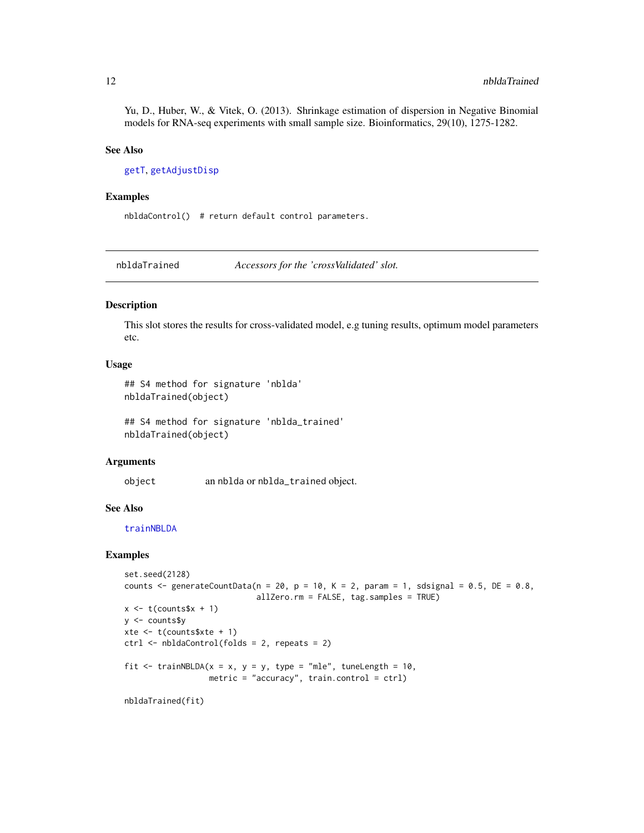<span id="page-11-0"></span>Yu, D., Huber, W., & Vitek, O. (2013). Shrinkage estimation of dispersion in Negative Binomial models for RNA-seq experiments with small sample size. Bioinformatics, 29(10), 1275-1282.

#### See Also

[getT](#page-0-0), [getAdjustDisp](#page-0-0)

#### Examples

nbldaControl() # return default control parameters.

<span id="page-11-1"></span>nbldaTrained *Accessors for the 'crossValidated' slot.*

#### Description

This slot stores the results for cross-validated model, e.g tuning results, optimum model parameters etc.

#### Usage

## S4 method for signature 'nblda' nbldaTrained(object)

## S4 method for signature 'nblda\_trained' nbldaTrained(object)

#### Arguments

object an nblda or nblda\_trained object.

#### See Also

[trainNBLDA](#page-20-1)

```
set.seed(2128)
counts \leq generateCountData(n = 20, p = 10, K = 2, param = 1, sdsignal = 0.5, DE = 0.8,
                             allZero.rm = FALSE, tag.samples = TRUE)
x \leftarrow t(counts$x + 1)
y <- counts$y
xte <- t(counts$xte + 1)
ctrl <- nbldaControl(folds = 2, repeats = 2)
fit <- trainNBLDA(x = x, y = y, type = "mle", tuneLength = 10,
                  metric = "accuracy", train.contrib =<math>ctrl)nbldaTrained(fit)
```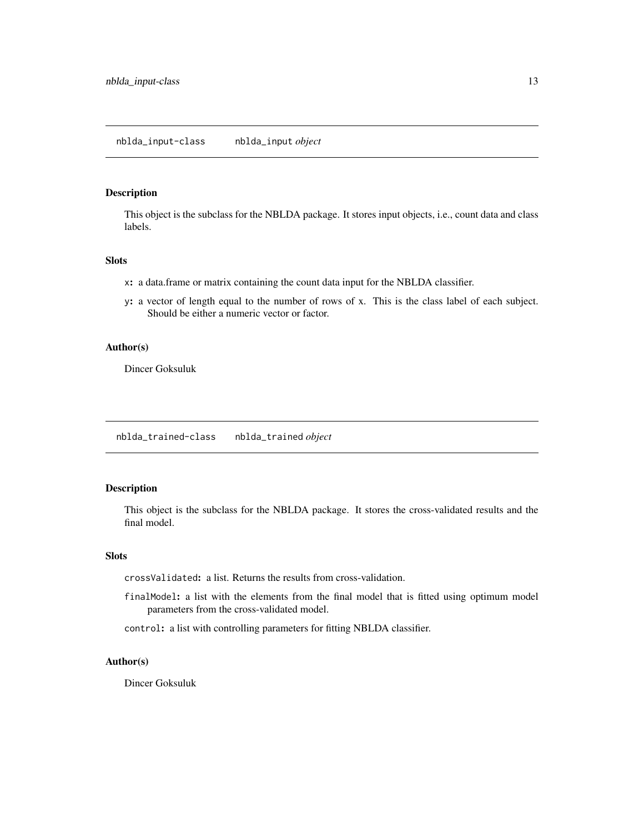<span id="page-12-2"></span><span id="page-12-0"></span>This object is the subclass for the NBLDA package. It stores input objects, i.e., count data and class labels.

#### Slots

- x: a data.frame or matrix containing the count data input for the NBLDA classifier.
- y: a vector of length equal to the number of rows of x. This is the class label of each subject. Should be either a numeric vector or factor.

#### Author(s)

Dincer Goksuluk

<span id="page-12-1"></span>nblda\_trained-class nblda\_trained *object*

#### Description

This object is the subclass for the NBLDA package. It stores the cross-validated results and the final model.

#### Slots

crossValidated: a list. Returns the results from cross-validation.

finalModel: a list with the elements from the final model that is fitted using optimum model parameters from the cross-validated model.

control: a list with controlling parameters for fitting NBLDA classifier.

#### Author(s)

Dincer Goksuluk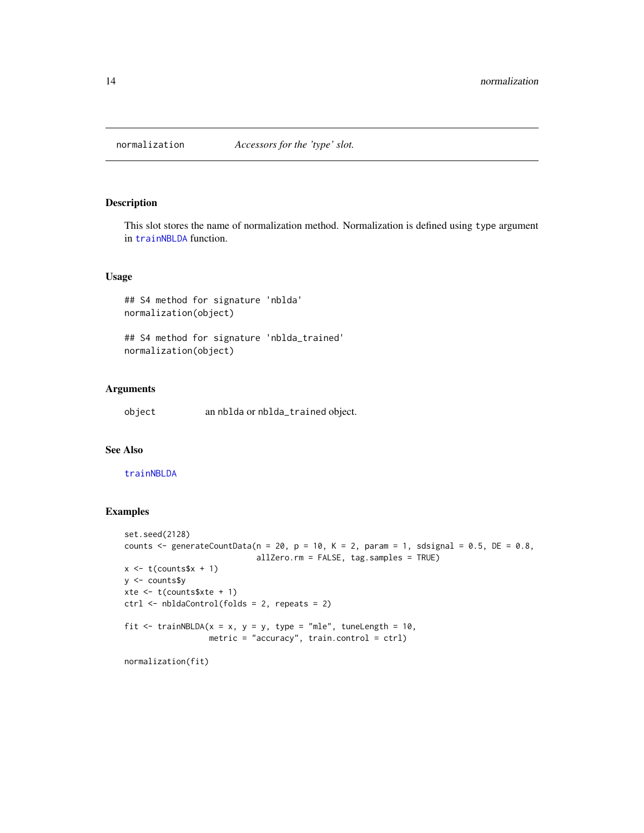<span id="page-13-0"></span>

This slot stores the name of normalization method. Normalization is defined using type argument in [trainNBLDA](#page-20-1) function.

#### Usage

## S4 method for signature 'nblda' normalization(object)

## S4 method for signature 'nblda\_trained' normalization(object)

#### Arguments

object an nblda or nblda\_trained object.

#### See Also

#### [trainNBLDA](#page-20-1)

```
set.seed(2128)
counts \le generateCountData(n = 20, p = 10, K = 2, param = 1, sdsignal = 0.5, DE = 0.8,
                             allZero.rm = FALSE, tag.samples = TRUE)
x \leftarrow t(counts$x + 1)
y <- counts$y
xte \leq t(counts$xte + 1)
ctrl <- nbldaControl(folds = 2, repeats = 2)
fit \le trainNBLDA(x = x, y = y, type = "mle", tuneLength = 10,
                  metric = "accuracy", train.control = ctrl)
normalization(fit)
```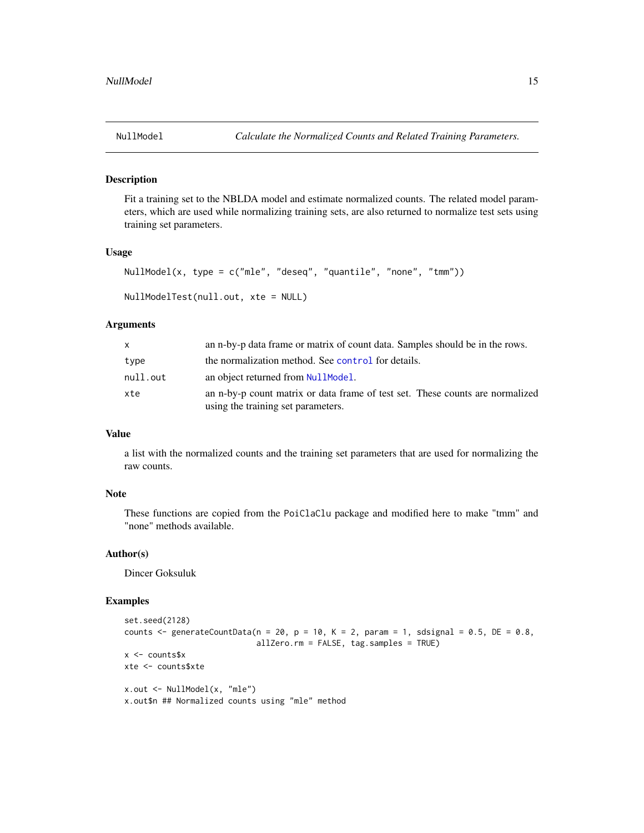<span id="page-14-1"></span><span id="page-14-0"></span>

Fit a training set to the NBLDA model and estimate normalized counts. The related model parameters, which are used while normalizing training sets, are also returned to normalize test sets using training set parameters.

#### Usage

```
NullModel(x, type = c("mle", "deseq", "quantile", "none", "tmm"))
```

```
NullModelTest(null.out, xte = NULL)
```
#### Arguments

| X        | an n-by-p data frame or matrix of count data. Samples should be in the rows.                                        |
|----------|---------------------------------------------------------------------------------------------------------------------|
| type     | the normalization method. See control for details.                                                                  |
| null.out | an object returned from NullModel.                                                                                  |
| xte      | an n-by-p count matrix or data frame of test set. These counts are normalized<br>using the training set parameters. |

#### Value

a list with the normalized counts and the training set parameters that are used for normalizing the raw counts.

#### Note

These functions are copied from the PoiClaClu package and modified here to make "tmm" and "none" methods available.

#### Author(s)

Dincer Goksuluk

```
set.seed(2128)
counts \leq generateCountData(n = 20, p = 10, K = 2, param = 1, sdsignal = 0.5, DE = 0.8,
                            allZero.rm = FALSE, tag.samples = TRUE)
x <- counts$x
xte <- counts$xte
x.out <- NullModel(x, "mle")
x.out$n ## Normalized counts using "mle" method
```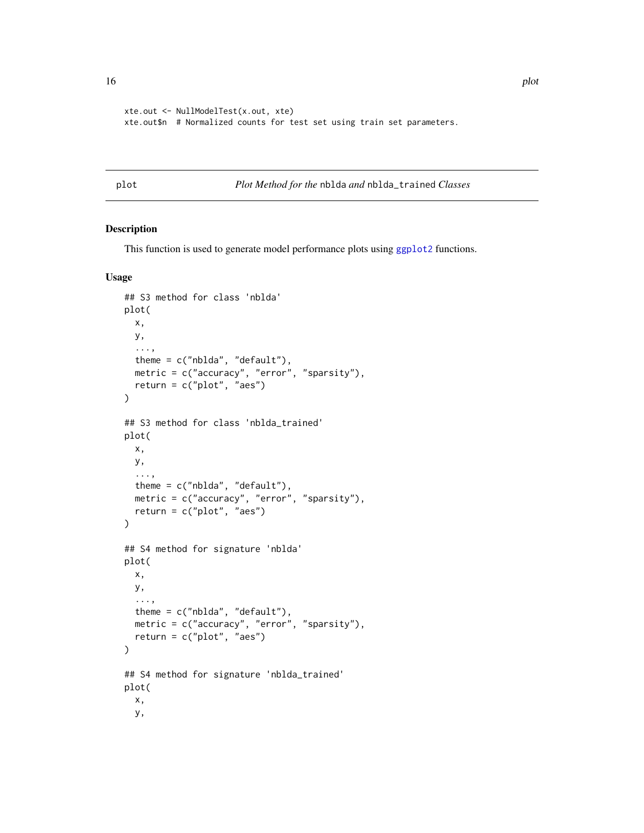```
xte.out <- NullModelTest(x.out, xte)
xte.out$n # Normalized counts for test set using train set parameters.
```
plot *Plot Method for the* nblda *and* nblda\_trained *Classes*

#### Description

This function is used to generate model performance plots using [ggplot2](#page-0-0) functions.

#### Usage

```
## S3 method for class 'nblda'
plot(
 x,
 y,
  ...,
  theme = c("nblda", "default"),
 metric = c("accuracy", "error", "sparsity"),
 return = c("plot", "aes"))
## S3 method for class 'nblda_trained'
plot(
 x,
 y,
  ...,
  theme = c("nblda", "default"),
 metric = c("accuracy", "error", "sparsity"),
  return = c("plot", "aes")
\mathcal{L}## S4 method for signature 'nblda'
plot(
 x,
 y,
  ...,
  theme = c("nblda", "default"),
 metric = c("accuracy", "error", "sparsity"),
  return = c("plot", "aes")
\lambda## S4 method for signature 'nblda_trained'
plot(
 x,
 y,
```
<span id="page-15-0"></span>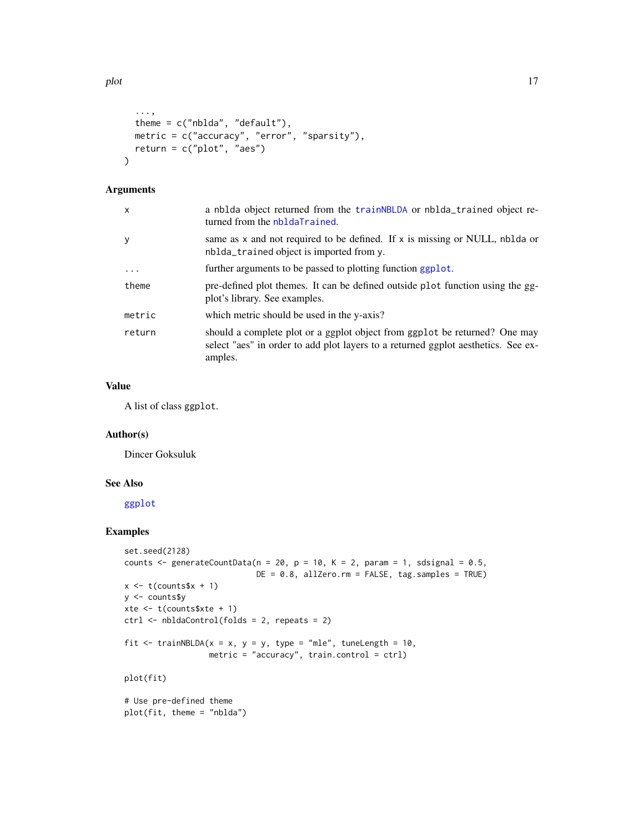```
...,
theme = c("nblda", "default"),
metric = c("accuracy", "error", "sparsity"),
return = c("plot", "aes")
```
#### Arguments

 $\lambda$ 

| a nblda object returned from the trainNBLDA or nblda_trained object re-<br>turned from the nbldaTrained.                                                                   |
|----------------------------------------------------------------------------------------------------------------------------------------------------------------------------|
| same as $x$ and not required to be defined. If $x$ is missing or NULL, nblda or<br>nblda_trained object is imported from y.                                                |
| further arguments to be passed to plotting function ggplot.                                                                                                                |
| pre-defined plot themes. It can be defined outside plot function using the gg-<br>plot's library. See examples.                                                            |
| which metric should be used in the y-axis?                                                                                                                                 |
| should a complete plot or a ggplot object from ggplot be returned? One may<br>select "aes" in order to add plot layers to a returned ggplot aesthetics. See ex-<br>amples. |
|                                                                                                                                                                            |

#### Value

A list of class ggplot.

#### Author(s)

Dincer Goksuluk

#### See Also

[ggplot](#page-0-0)

```
set.seed(2128)
counts \leq generateCountData(n = 20, p = 10, K = 2, param = 1, sdsignal = 0.5,
                            DE = 0.8, allZero.rm = FALSE, tag.samples = TRUE)
x \leftarrow t(counts$x + 1)
y <- counts$y
xte <- t(counts$xte + 1)
ctrl <- nbldaControl(folds = 2, repeats = 2)
fit \le trainNBLDA(x = x, y = y, type = "mle", tuneLength = 10,
                  metric = "accuracy", train.control = ctrl)
plot(fit)
# Use pre-defined theme
plot(fit, theme = "nblda")
```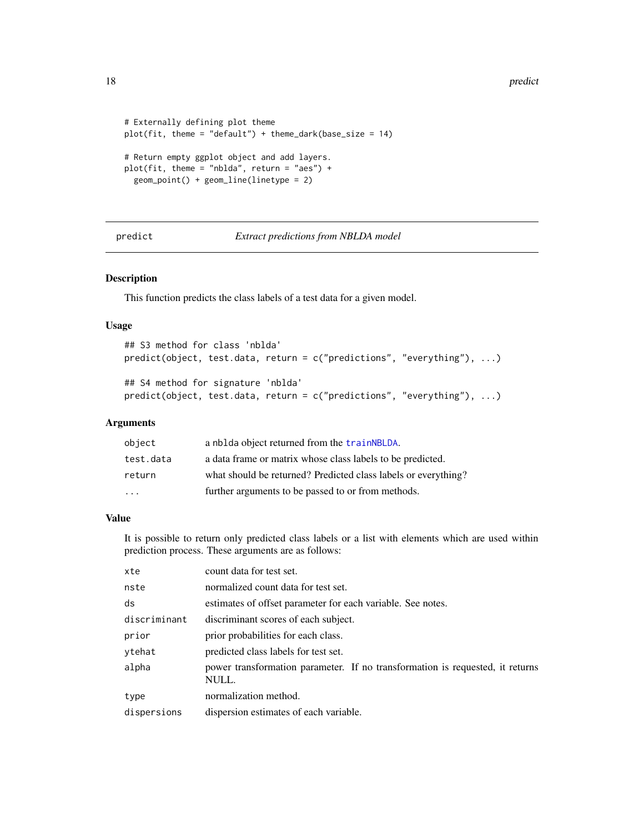<span id="page-17-0"></span>18 predict the property of the set of the set of the set of the predict of the set of the set of the set of the set of the set of the set of the set of the set of the set of the set of the set of the set of the set of the

```
# Externally defining plot theme
plot(fit, theme = "default") + theme\_dark(base_size = 14)# Return empty ggplot object and add layers.
plot(fit, theme = "nblda", return = "aes") +
  geom_point() + geom_line(linetype = 2)
```
#### predict *Extract predictions from NBLDA model*

#### Description

This function predicts the class labels of a test data for a given model.

#### Usage

```
## S3 method for class 'nblda'
predict(object, test.data, return = c("predictions", "everything"), ...)
## S4 method for signature 'nblda'
predict(object, test.data, return = c("predictions", "everything"), ...)
```
#### Arguments

| object    | a nblda object returned from the train NBLDA.                  |
|-----------|----------------------------------------------------------------|
| test.data | a data frame or matrix whose class labels to be predicted.     |
| return    | what should be returned? Predicted class labels or everything? |
| $\cdot$   | further arguments to be passed to or from methods.             |

#### Value

It is possible to return only predicted class labels or a list with elements which are used within prediction process. These arguments are as follows:

| xte          | count data for test set.                                                               |
|--------------|----------------------------------------------------------------------------------------|
| nste         | normalized count data for test set.                                                    |
| ds           | estimates of offset parameter for each variable. See notes.                            |
| discriminant | discriminant scores of each subject.                                                   |
| prior        | prior probabilities for each class.                                                    |
| ytehat       | predicted class labels for test set.                                                   |
| alpha        | power transformation parameter. If no transformation is requested, it returns<br>NULL. |
| type         | normalization method.                                                                  |
| dispersions  | dispersion estimates of each variable.                                                 |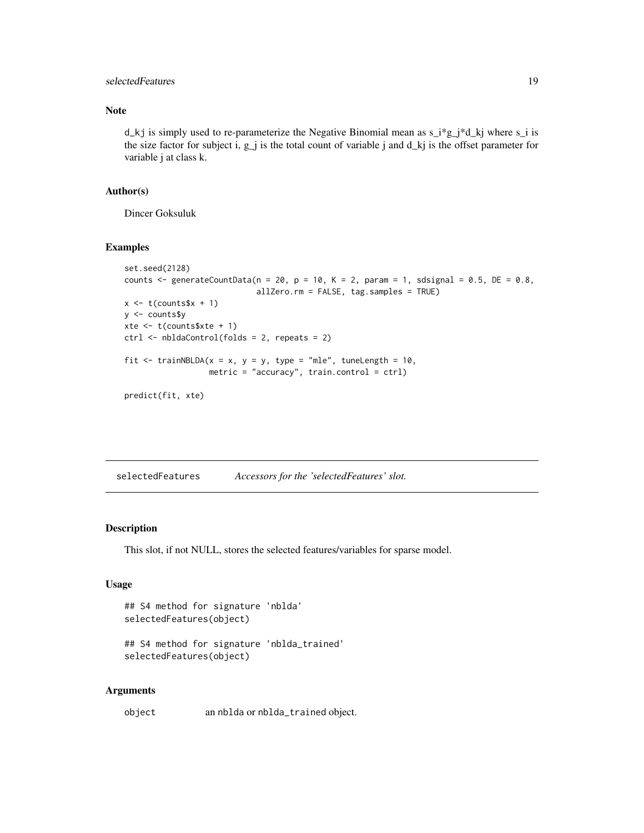#### <span id="page-18-0"></span>selectedFeatures 19

#### Note

d\_kj is simply used to re-parameterize the Negative Binomial mean as  $s_i^*g_j^*d_k$  where  $s_i$  is the size factor for subject i,  $g_j$  is the total count of variable j and  $d_k$  is the offset parameter for variable j at class k.

#### Author(s)

Dincer Goksuluk

#### Examples

```
set.seed(2128)
counts \le generateCountData(n = 20, p = 10, K = 2, param = 1, sdsignal = 0.5, DE = 0.8,
                             allZero.rm = FALSE, tag.samples = TRUE)
x \leftarrow t(counts$x + 1)
y <- counts$y
xte <- t(counts$xte + 1)
ctrl <- nbldaControl(folds = 2, repeats = 2)
fit \le trainNBLDA(x = x, y = y, type = "mle", tuneLength = 10,
                  metric = "accuracy", train.control = ctrl)
predict(fit, xte)
```
selectedFeatures *Accessors for the 'selectedFeatures' slot.*

#### Description

This slot, if not NULL, stores the selected features/variables for sparse model.

#### Usage

```
## S4 method for signature 'nblda'
selectedFeatures(object)
```
## S4 method for signature 'nblda\_trained' selectedFeatures(object)

#### Arguments

object an nblda or nblda\_trained object.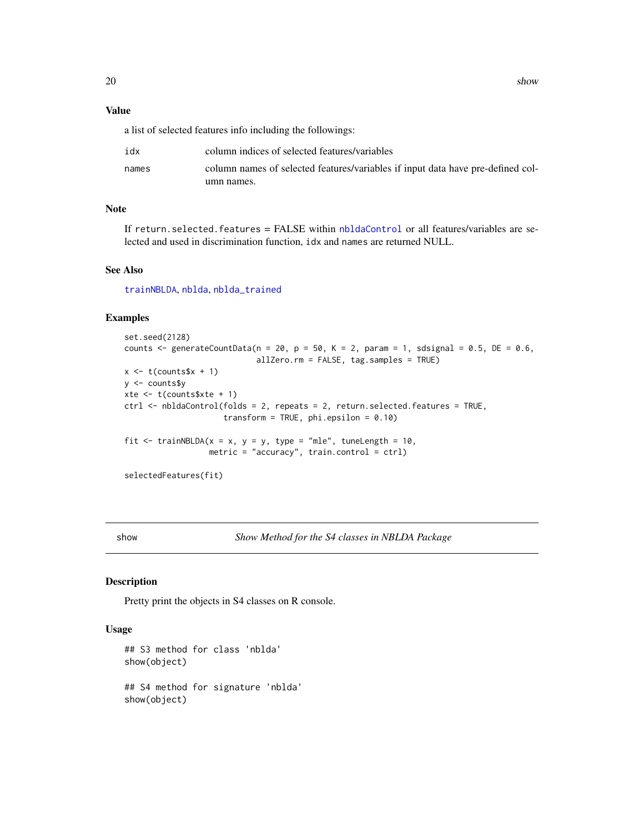<span id="page-19-0"></span>20 shows that the state of the state of the state of the state of the state of the state of the state of the state of the state of the state of the state of the state of the state of the state of the state of the state of

#### Value

a list of selected features info including the followings:

| idx   | column indices of selected features/variables                                   |
|-------|---------------------------------------------------------------------------------|
| names | column names of selected features/variables if input data have pre-defined col- |
|       | umn names.                                                                      |

#### Note

If return.selected.features = FALSE within [nbldaControl](#page-9-1) or all features/variables are selected and used in discrimination function, idx and names are returned NULL.

#### See Also

[trainNBLDA](#page-20-1), [nblda](#page-8-1), [nblda\\_trained](#page-12-1)

#### Examples

```
set.seed(2128)
counts \leq generateCountData(n = 20, p = 50, K = 2, param = 1, sdsignal = 0.5, DE = 0.6,
                            allZero.rm = FALSE, tag.samples = TRUE)
x \leq t (counts$x + 1)
y <- counts$y
xte <- t(counts$xte + 1)
ctrl <- nbldaControl(folds = 2, repeats = 2, return.selected.features = TRUE,
                     transform = TRUE, phi.epsilon = 0.10)
fit <- trainNBLDA(x = x, y = y, type = "mle", tuneLength = 10,
                  metric = "accuracy", train.control = ctrl)
selectedFeatures(fit)
```
show *Show Method for the S4 classes in NBLDA Package*

#### Description

Pretty print the objects in S4 classes on R console.

#### Usage

```
## S3 method for class 'nblda'
show(object)
## S4 method for signature 'nblda'
show(object)
```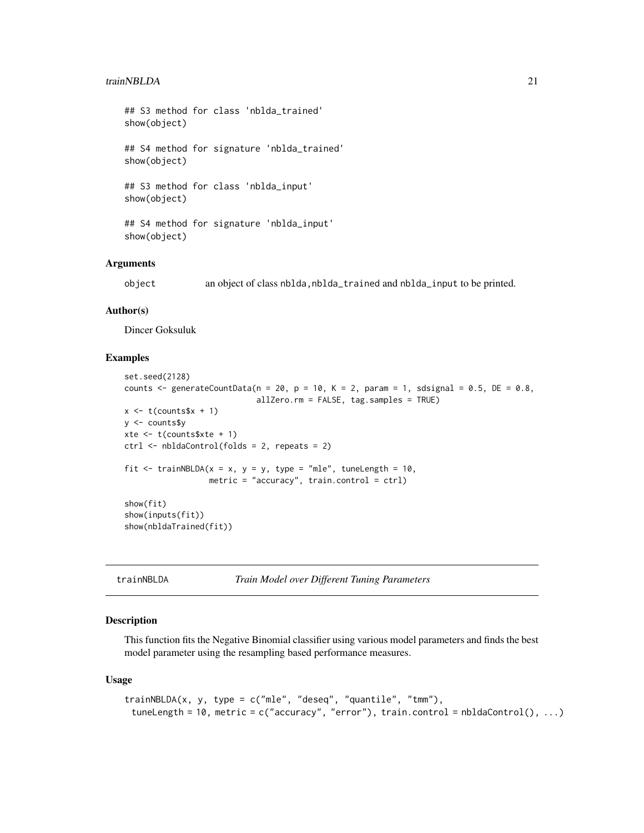#### <span id="page-20-0"></span>trainNBLDA 21

## S3 method for class 'nblda\_trained' show(object) ## S4 method for signature 'nblda\_trained'

show(object)

## S3 method for class 'nblda\_input' show(object)

## S4 method for signature 'nblda\_input' show(object)

#### Arguments

object an object of class nblda,nblda\_trained and nblda\_input to be printed.

#### Author(s)

Dincer Goksuluk

#### Examples

```
set.seed(2128)
counts \leq generateCountData(n = 20, p = 10, K = 2, param = 1, sdsignal = 0.5, DE = 0.8,
                             allZero.rm = FALSE, tag.samples = TRUE)
x \leftarrow t(counts$x + 1)
y <- counts$y
xte <- t(counts$xte + 1)
ctrl <- nbldaControl(folds = 2, repeats = 2)
fit \le trainNBLDA(x = x, y = y, type = "mle", tuneLength = 10,
                  metric = "accuracy", train.control = ctrl)
show(fit)
show(inputs(fit))
show(nbldaTrained(fit))
```
<span id="page-20-1"></span>trainNBLDA *Train Model over Different Tuning Parameters*

#### Description

This function fits the Negative Binomial classifier using various model parameters and finds the best model parameter using the resampling based performance measures.

#### Usage

```
trainNBLDA(x, y, type = c("mle", "deseq", "quantile", "tmm"),
 tuneLength = 10, metric = c("accuracy", "error"), train.contrib = nbldaControl(), ...)
```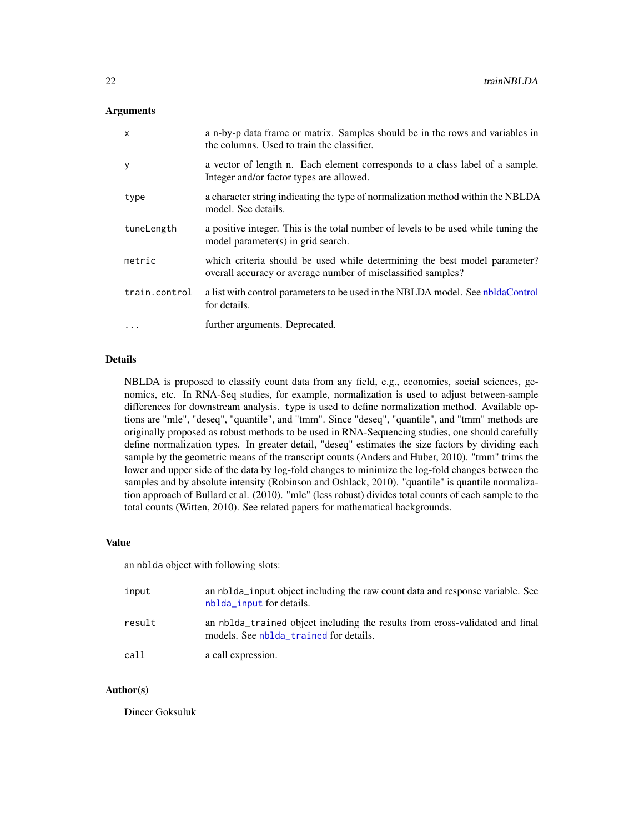#### <span id="page-21-0"></span>**Arguments**

| $\mathsf{x}$  | a n-by-p data frame or matrix. Samples should be in the rows and variables in<br>the columns. Used to train the classifier.               |
|---------------|-------------------------------------------------------------------------------------------------------------------------------------------|
| y             | a vector of length n. Each element corresponds to a class label of a sample.<br>Integer and/or factor types are allowed.                  |
| type          | a character string indicating the type of normalization method within the NBLDA<br>model. See details.                                    |
| tuneLength    | a positive integer. This is the total number of levels to be used while tuning the<br>model parameter(s) in grid search.                  |
| metric        | which criteria should be used while determining the best model parameter?<br>overall accuracy or average number of misclassified samples? |
| train.control | a list with control parameters to be used in the NBLDA model. See nbldaControl<br>for details.                                            |
| $\cdots$      | further arguments. Deprecated.                                                                                                            |

#### Details

NBLDA is proposed to classify count data from any field, e.g., economics, social sciences, genomics, etc. In RNA-Seq studies, for example, normalization is used to adjust between-sample differences for downstream analysis. type is used to define normalization method. Available options are "mle", "deseq", "quantile", and "tmm". Since "deseq", "quantile", and "tmm" methods are originally proposed as robust methods to be used in RNA-Sequencing studies, one should carefully define normalization types. In greater detail, "deseq" estimates the size factors by dividing each sample by the geometric means of the transcript counts (Anders and Huber, 2010). "tmm" trims the lower and upper side of the data by log-fold changes to minimize the log-fold changes between the samples and by absolute intensity (Robinson and Oshlack, 2010). "quantile" is quantile normalization approach of Bullard et al. (2010). "mle" (less robust) divides total counts of each sample to the total counts (Witten, 2010). See related papers for mathematical backgrounds.

#### Value

an nblda object with following slots:

| input  | an nblda <sub>l</sub> input object including the raw count data and response variable. See<br>nblda_input for details. |
|--------|------------------------------------------------------------------------------------------------------------------------|
| result | an nblda trained object including the results from cross-validated and final<br>models. See nblda_trained for details. |
| call   | a call expression.                                                                                                     |

#### Author(s)

Dincer Goksuluk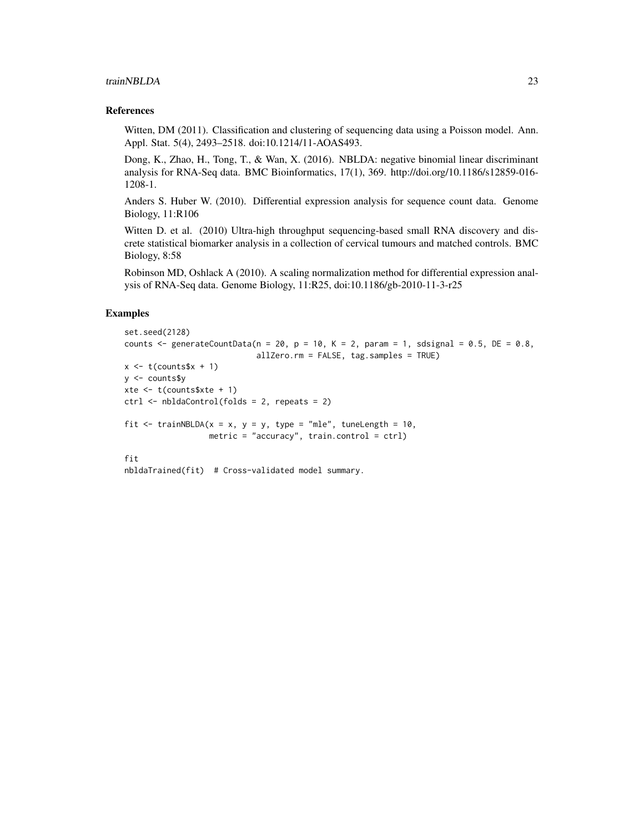#### trainNBLDA 23

#### References

Witten, DM (2011). Classification and clustering of sequencing data using a Poisson model. Ann. Appl. Stat. 5(4), 2493–2518. doi:10.1214/11-AOAS493.

Dong, K., Zhao, H., Tong, T., & Wan, X. (2016). NBLDA: negative binomial linear discriminant analysis for RNA-Seq data. BMC Bioinformatics, 17(1), 369. http://doi.org/10.1186/s12859-016- 1208-1.

Anders S. Huber W. (2010). Differential expression analysis for sequence count data. Genome Biology, 11:R106

Witten D. et al. (2010) Ultra-high throughput sequencing-based small RNA discovery and discrete statistical biomarker analysis in a collection of cervical tumours and matched controls. BMC Biology, 8:58

Robinson MD, Oshlack A (2010). A scaling normalization method for differential expression analysis of RNA-Seq data. Genome Biology, 11:R25, doi:10.1186/gb-2010-11-3-r25

```
set.seed(2128)
counts \leq generateCountData(n = 20, p = 10, K = 2, param = 1, sdsignal = 0.5, DE = 0.8,
                            allZero.rm = FALSE, tag.samples = TRUE)
x \leq t (counts$x + 1)
y <- counts$y
xte <- t(counts$xte + 1)
ctrl <- nbldaControl(folds = 2, repeats = 2)
fit \le trainNBLDA(x = x, y = y, type = "mle", tuneLength = 10,
                  metric = "accuracy", train.control = ctrl)
fit
nbldaTrained(fit) # Cross-validated model summary.
```